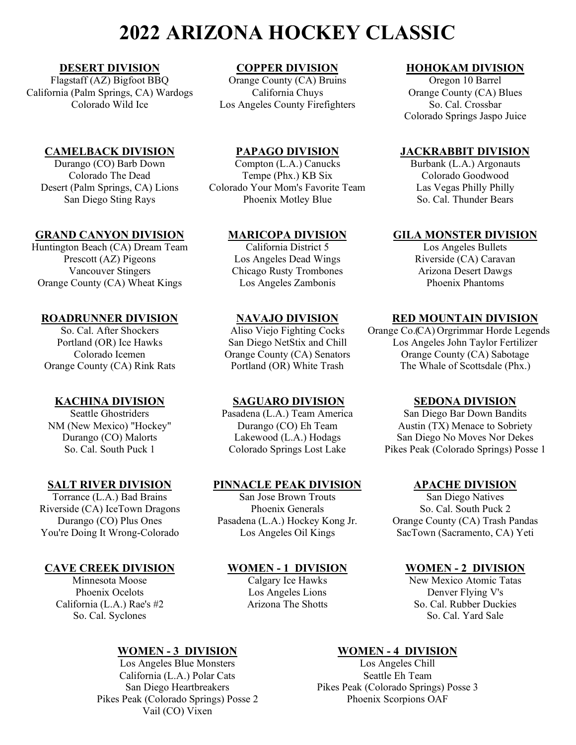**DESERT DIVISION**<br> **COPPER DIVISION**<br>
Orange County (CA) Bruins<br> **COPPER DIVISION**<br>
Orange County (CA) Bruins<br> **COPPER DIVISION**<br>
Oregon 10 Barrel California (Palm Springs, CA) Wardogs California Chuys County (CA) Blues<br>Colorado Wild Ice Los Angeles County Firefighters So. Cal. Crossbar

## **CAMELBACK DIVISION**<br>
Durango (CO) Barb Down<br>
Compton (L.A.) Canucks<br>
Compton (L.A.) Canucks<br>
PAPAGO DIVISION<br>
Burbank (L.A.) Argonauts

San Diego Sting Rays

# **GRAND CANYON DIVISION**<br> **MARICOPA DIVISION**<br>
California District 5 **GILA MONSTER DIVISION**<br>
Los Angeles Bullets

Huntington Beach (CA) Dream Team California District 5 Los Angeles Bullets<br>Prescott (AZ) Pigeons Los Angeles Dead Wings Riverside (CA) Caravan Prescott (AZ) Pigeons Los Angeles Dead Wings Riverside (CA) Caravan<br>
Vancouver Stingers Chicago Rusty Trombones Arizona Desert Dawgs Orange County (CA) Wheat Kings

Riverside (CA) IceTown Dragons Phoenix Generals<br>Durango (CO) Plus Ones Pasadena (L.A.) Hockey K

## **CAVE CREEK DIVISION**<br>
Minnesota Moose Calgary Ice Hawks New Mexico Atomic Tatas

So. Cal. Syclones

Los Angeles Blue Monsters California (L.A.) Polar Cats<br>
Seattle Eh Team<br>
Seattle Eh Team<br>
Pikes Peak (Colorado Spring Pikes Peak (Colorado Springs) Posse 2 Vail (CO) Vixen

Orange County (CA) Bruins<br>California Chuys Los Angeles County Firefighters

Colorado The Dead Tempe (Phx.) KB Six Colorado Goodwood<br>
Colorado Goodwood (Palm Springs, CA) Lions Colorado Your Mom's Favorite Team Las Vegas Philly Philly Desert (Palm Springs, CA) Lions Colorado Your Mom's Favorite Team Las Vegas Philly Philly

Chicago Rusty Trombones<br>
Los Angeles Zambonis<br>
Phoenix Phantoms

Seattle Ghostriders Pasadena (L.A.) Team America<br>New Mexico) "Hockey" Durango (CO) Eh Team

# **SALT RIVER DIVISION**<br> **PINNACLE PEAK DIVISION**<br>
San Jose Brown Trouts
San Diego Natives
San Diego Natives
San Diego Natives

Torrance (L.A.) Bad Brains San Jose Brown Trouts San Diego Natives<br>
Verside (CA) IceTown Dragons Phoenix Generals So. Cal. South Puck 2

**WOMEN - 3 DIVISION**<br>
Los Angeles Blue Monsters<br>
Los Angeles Chill Pikes Peak (Colorado Springs) Posse 3<br>Phoenix Scorpions OAF

Colorado Springs Jaspo Juice

Burbank (L.A.) Argonauts<br>Colorado Goodwood

**ROADRUNNER DIVISION**<br>
So. Cal. After Shockers<br>
Aliso Viejo Fighting Cocks Orange Co.(CA) Orgrimmar Horde Legen Aliso Viejo Fighting Cocks Orange Co. (CA) Orgrimmar Horde Legends<br>San Diego NetStix and Chill Los Angeles John Taylor Fertilizer Portland (OR) Ice Hawks San Diego NetStix and Chill Los Angeles John Taylor Fertilizer Colorado Icemen Orange County (CA) Senators Orange County (CA) Sabotage Orange County (CA) Rink Rats Portland (OR) White Trash The Whale of Scottsdale (Phx.)

**KACHINA DIVISION**<br> **SAGUARO DIVISION**<br>
Pasadena (L.A.) Team America<br>
San Diego Bar Down Bandits NM (New Mexico) "Hockey" Durango (CO) Eh Team Austin (TX) Menace to Sobriety<br>Durango (CO) Malorts Lakewood (L.A.) Hodags San Diego No Moves Nor Dekes Durango (CO) Malorts Lakewood (L.A.) Hodags San Diego No Moves Nor Dekes<br>So. Cal. South Puck 1 Colorado Springs Lost Lake Pikes Peak (Colorado Springs) Posse Pikes Peak (Colorado Springs) Posse 1

Pasadena (L.A.) Hockey Kong Jr. Orange County (CA) Trash Pandas You're Doing It Wrong-Colorado Los Angeles Oil Kings SacTown (Sacramento, CA) Yeti

New Mexico Atomic Tatas Phoenix Ocelots<br>
Los Angeles Lions<br>
Los Angeles Lions<br>
Denver Flying V's<br>
So. Cal. Rubber Duck<br>
Denver Flying V's<br>
Denver Flying V's California (L.A.) Rae's #2 Arizona The Shotts So. Cal. Rubber Duckies<br>So. Cal. Svclones So. Cal. Yard Sale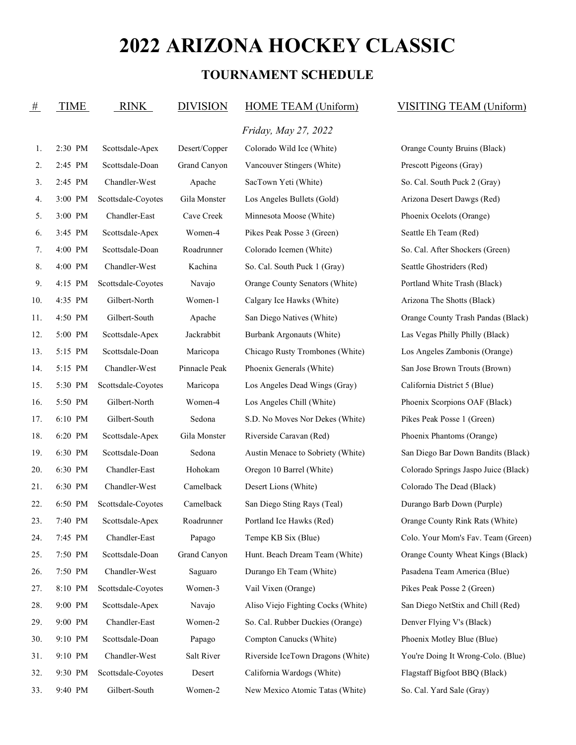### **TOURNAMENT SCHEDULE**

| #   | <b>TIME</b> | RINK               | <b>DIVISION</b> | HOME TEAM (Uniform)                | VISITING TEAM (Uniform)              |
|-----|-------------|--------------------|-----------------|------------------------------------|--------------------------------------|
|     |             |                    |                 | Friday, May 27, 2022               |                                      |
| 1.  | 2:30 PM     | Scottsdale-Apex    | Desert/Copper   | Colorado Wild Ice (White)          | Orange County Bruins (Black)         |
| 2.  | 2:45 PM     | Scottsdale-Doan    | Grand Canyon    | Vancouver Stingers (White)         | Prescott Pigeons (Gray)              |
| 3.  | 2:45 PM     | Chandler-West      | Apache          | SacTown Yeti (White)               | So. Cal. South Puck 2 (Gray)         |
| 4.  | 3:00 PM     | Scottsdale-Coyotes | Gila Monster    | Los Angeles Bullets (Gold)         | Arizona Desert Dawgs (Red)           |
| 5.  | 3:00 PM     | Chandler-East      | Cave Creek      | Minnesota Moose (White)            | Phoenix Ocelots (Orange)             |
| 6.  | 3:45 PM     | Scottsdale-Apex    | Women-4         | Pikes Peak Posse 3 (Green)         | Seattle Eh Team (Red)                |
| 7.  | 4:00 PM     | Scottsdale-Doan    | Roadrunner      | Colorado Icemen (White)            | So. Cal. After Shockers (Green)      |
| 8.  | 4:00 PM     | Chandler-West      | Kachina         | So. Cal. South Puck 1 (Gray)       | Seattle Ghostriders (Red)            |
| 9.  | 4:15 PM     | Scottsdale-Coyotes | Navajo          | Orange County Senators (White)     | Portland White Trash (Black)         |
| 10. | 4:35 PM     | Gilbert-North      | Women-1         | Calgary Ice Hawks (White)          | Arizona The Shotts (Black)           |
| 11. | 4:50 PM     | Gilbert-South      | Apache          | San Diego Natives (White)          | Orange County Trash Pandas (Black)   |
| 12. | 5:00 PM     | Scottsdale-Apex    | Jackrabbit      | Burbank Argonauts (White)          | Las Vegas Philly Philly (Black)      |
| 13. | 5:15 PM     | Scottsdale-Doan    | Maricopa        | Chicago Rusty Trombones (White)    | Los Angeles Zambonis (Orange)        |
| 14. | 5:15 PM     | Chandler-West      | Pinnacle Peak   | Phoenix Generals (White)           | San Jose Brown Trouts (Brown)        |
| 15. | 5:30 PM     | Scottsdale-Coyotes | Maricopa        | Los Angeles Dead Wings (Gray)      | California District 5 (Blue)         |
| 16. | 5:50 PM     | Gilbert-North      | Women-4         | Los Angeles Chill (White)          | Phoenix Scorpions OAF (Black)        |
| 17. | 6:10 PM     | Gilbert-South      | Sedona          | S.D. No Moves Nor Dekes (White)    | Pikes Peak Posse 1 (Green)           |
| 18. | 6:20 PM     | Scottsdale-Apex    | Gila Monster    | Riverside Caravan (Red)            | Phoenix Phantoms (Orange)            |
| 19. | 6:30 PM     | Scottsdale-Doan    | Sedona          | Austin Menace to Sobriety (White)  | San Diego Bar Down Bandits (Black)   |
| 20. | 6:30 PM     | Chandler-East      | Hohokam         | Oregon 10 Barrel (White)           | Colorado Springs Jaspo Juice (Black) |
| 21. | 6:30 PM     | Chandler-West      | Camelback       | Desert Lions (White)               | Colorado The Dead (Black)            |
| 22. | 6:50 PM     | Scottsdale-Coyotes | Camelback       | San Diego Sting Rays (Teal)        | Durango Barb Down (Purple)           |
| 23. | 7:40 PM     | Scottsdale-Apex    | Roadrunner      | Portland Ice Hawks (Red)           | Orange County Rink Rats (White)      |
| 24. | 7:45 PM     | Chandler-East      | Papago          | Tempe KB Six (Blue)                | Colo. Your Mom's Fav. Team (Green)   |
| 25. | 7:50 PM     | Scottsdale-Doan    | Grand Canyon    | Hunt. Beach Dream Team (White)     | Orange County Wheat Kings (Black)    |
| 26. | 7:50 PM     | Chandler-West      | Saguaro         | Durango Eh Team (White)            | Pasadena Team America (Blue)         |
| 27. | 8:10 PM     | Scottsdale-Coyotes | Women-3         | Vail Vixen (Orange)                | Pikes Peak Posse 2 (Green)           |
| 28. | 9:00 PM     | Scottsdale-Apex    | Navajo          | Aliso Viejo Fighting Cocks (White) | San Diego NetStix and Chill (Red)    |
| 29. | 9:00 PM     | Chandler-East      | Women-2         | So. Cal. Rubber Duckies (Orange)   | Denver Flying V's (Black)            |
| 30. | 9:10 PM     | Scottsdale-Doan    | Papago          | Compton Canucks (White)            | Phoenix Motley Blue (Blue)           |
| 31. | 9:10 PM     | Chandler-West      | Salt River      | Riverside IceTown Dragons (White)  | You're Doing It Wrong-Colo. (Blue)   |
| 32. | 9:30 PM     | Scottsdale-Coyotes | Desert          | California Wardogs (White)         | Flagstaff Bigfoot BBQ (Black)        |
| 33. | 9:40 PM     | Gilbert-South      | Women-2         | New Mexico Atomic Tatas (White)    | So. Cal. Yard Sale (Gray)            |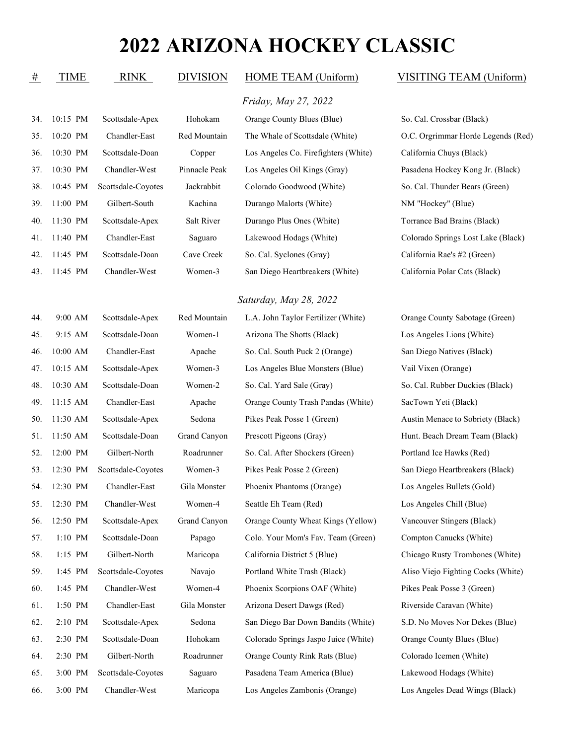| $\mathbf{u}$ | 1 11 V 1 1 1 | ******             | <b>DIALUIT</b> | $110$ <sub>111</sub> $111$ <sub>1111</sub> $\sqrt{111}$ <sub>1111</sub> | 1.01   |
|--------------|--------------|--------------------|----------------|-------------------------------------------------------------------------|--------|
|              |              |                    |                | Friday, May 27, 2022                                                    |        |
| 34.          | 10:15 PM     | Scottsdale-Apex    | Hohokam        | Orange County Blues (Blue)                                              | So. Ca |
| 35.          | 10:20 PM     | Chandler-East      | Red Mountain   | The Whale of Scottsdale (White)                                         | O.C. 0 |
| 36.          | 10:30 PM     | Scottsdale-Doan    | Copper         | Los Angeles Co. Firefighters (White)                                    | Califo |
| 37.          | 10:30 PM     | Chandler-West      | Pinnacle Peak  | Los Angeles Oil Kings (Gray)                                            | Pasad  |
| 38.          | 10:45 PM     | Scottsdale-Coyotes | Jackrabbit     | Colorado Goodwood (White)                                               | So. Ca |
| 39.          | 11:00 PM     | Gilbert-South      | Kachina        | Durango Malorts (White)                                                 | NM"    |
| 40.          | 11:30 PM     | Scottsdale-Apex    | Salt River     | Durango Plus Ones (White)                                               | Torrar |
| 41.          | 11:40 PM     | Chandler-East      | Saguaro        | Lakewood Hodags (White)                                                 | Colora |
| 42.          | 11:45 PM     | Scottsdale-Doan    | Cave Creek     | So. Cal. Syclones (Gray)                                                | Califo |
| 43.          | 11:45 PM     | Chandler-West      | Women-3        | San Diego Heartbreakers (White)                                         | Califo |
|              |              |                    |                | Saturday, May 28, 2022                                                  |        |
| 44.          | 9:00 AM      | Scottsdale-Apex    | Red Mountain   | L.A. John Taylor Fertilizer (White)                                     | Orang  |
| 45.          | 9:15 AM      | Scottsdale-Doan    | Women-1        | Arizona The Shotts (Black)                                              | Los A  |
| 46.          | 10:00 AM     | Chandler-East      | Apache         | So. Cal. South Puck 2 (Orange)                                          | San D  |
| 47.          | 10:15 AM     | Scottsdale-Apex    | Women-3        | Los Angeles Blue Monsters (Blue)                                        | Vail V |
| 48.          | 10:30 AM     | Scottsdale-Doan    | Women-2        | So. Cal. Yard Sale (Gray)                                               | So. Ca |
| 49.          | 11:15 AM     | Chandler-East      | Apache         | Orange County Trash Pandas (White)                                      | SacTo  |
| 50.          | 11:30 AM     | Scottsdale-Apex    | Sedona         | Pikes Peak Posse 1 (Green)                                              | Austir |
| 51.          | 11:50 AM     | Scottsdale-Doan    | Grand Canyon   | Prescott Pigeons (Gray)                                                 | Hunt.  |
| 52.          | 12:00 PM     | Gilbert-North      | Roadrunner     | So. Cal. After Shockers (Green)                                         | Portla |
| 53.          | 12:30 PM     | Scottsdale-Coyotes | Women-3        | Pikes Peak Posse 2 (Green)                                              | San D  |
| 54.          | 12:30 PM     | Chandler-East      | Gila Monster   | Phoenix Phantoms (Orange)                                               | Los A  |
| 55.          | 12:30 PM     | Chandler-West      | Women-4        | Seattle Eh Team (Red)                                                   | Los A  |
| 56.          | 12:50 PM     | Scottsdale-Apex    | Grand Canyon   | Orange County Wheat Kings (Yellow)                                      | Vanco  |
| 57.          | $1:10$ PM    | Scottsdale-Doan    | Papago         | Colo. Your Mom's Fav. Team (Green)                                      | Comp   |
| 58.          | $1:15$ PM    | Gilbert-North      | Maricopa       | California District 5 (Blue)                                            | Chica  |
| 59.          | 1:45 PM      | Scottsdale-Coyotes | Navajo         | Portland White Trash (Black)                                            | Aliso  |
|              |              |                    |                |                                                                         |        |

### # TIME RINK DIVISION HOME TEAM (Uniform) VISITING TEAM (Uniform)

al. Crossbar (Black) 31. 35. 10:20 Payrimmar Horde Legends (Red) rnia Chuys (Black) ena Hockey Kong Jr. (Black) al. Thunder Bears (Green) Hockey" (Blue) nce Bad Brains (Black) ado Springs Lost Lake (Black) rnia Rae's #2 (Green) rnia Polar Cats (Black)

e County Sabotage (Green) ngeles Lions (White) liego Natives (Black) <sup>7</sup>ixen (Orange) al. Rubber Duckies (Black) wn Yeti (Black) 1 Menace to Sobriety (Black) Beach Dream Team (Black) nd Ice Hawks (Red) iego Heartbreakers (Black) ngeles Bullets (Gold) ngeles Chill (Blue) buver Stingers (Black) ton Canucks (White) go Rusty Trombones (White) Viejo Fighting Cocks (White) 60. 1:45 PM Chandler-West Women-4 Phoenix Scorpions OAF (White) Pikes Peak Posse 3 (Green) 61. 1:50 PM Chandler-East Gila Monster Arizona Desert Dawgs (Red) Riverside Caravan (White) 62. 2:10 PM Scottsdale-Apex Sedona San Diego Bar Down Bandits (White) S.D. No Moves Nor Dekes (Blue) 63. 2:30 PM Scottsdale-Doan Hohokam Colorado Springs Jaspo Juice (White) Orange County Blues (Blue) 64. 2:30 PM Gilbert-North Roadrunner Orange County Rink Rats (Blue) Colorado Icemen (White) 65. 3:00 PM Scottsdale-Coyotes Saguaro Pasadena Team America (Blue) Lakewood Hodags (White) 66. 3:00 PM Chandler-West Maricopa Los Angeles Zambonis (Orange) Los Angeles Dead Wings (Black)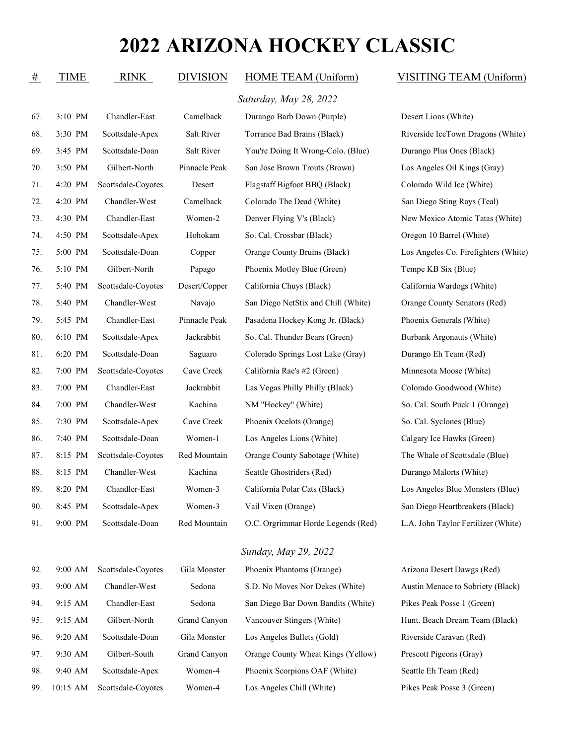| #   | <b>TIME</b> | <b>RINK</b>        | <b>DIVISION</b> | HOME TEAM (Uniform)                 | VISITING TEAM (Uniform)              |
|-----|-------------|--------------------|-----------------|-------------------------------------|--------------------------------------|
|     |             |                    |                 | Saturday, May 28, 2022              |                                      |
| 67. | 3:10 PM     | Chandler-East      | Camelback       | Durango Barb Down (Purple)          | Desert Lions (White)                 |
| 68. | 3:30 PM     | Scottsdale-Apex    | Salt River      | Torrance Bad Brains (Black)         | Riverside IceTown Dragons (White)    |
| 69. | 3:45 PM     | Scottsdale-Doan    | Salt River      | You're Doing It Wrong-Colo. (Blue)  | Durango Plus Ones (Black)            |
| 70. | 3:50 PM     | Gilbert-North      | Pinnacle Peak   | San Jose Brown Trouts (Brown)       | Los Angeles Oil Kings (Gray)         |
| 71. | 4:20 PM     | Scottsdale-Coyotes | Desert          | Flagstaff Bigfoot BBQ (Black)       | Colorado Wild Ice (White)            |
| 72. | 4:20 PM     | Chandler-West      | Camelback       | Colorado The Dead (White)           | San Diego Sting Rays (Teal)          |
| 73. | 4:30 PM     | Chandler-East      | Women-2         | Denver Flying V's (Black)           | New Mexico Atomic Tatas (White)      |
| 74. | 4:50 PM     | Scottsdale-Apex    | Hohokam         | So. Cal. Crossbar (Black)           | Oregon 10 Barrel (White)             |
| 75. | 5:00 PM     | Scottsdale-Doan    | Copper          | Orange County Bruins (Black)        | Los Angeles Co. Firefighters (White) |
| 76. | 5:10 PM     | Gilbert-North      | Papago          | Phoenix Motley Blue (Green)         | Tempe KB Six (Blue)                  |
| 77. | 5:40 PM     | Scottsdale-Coyotes | Desert/Copper   | California Chuys (Black)            | California Wardogs (White)           |
| 78. | 5:40 PM     | Chandler-West      | Navajo          | San Diego NetStix and Chill (White) | Orange County Senators (Red)         |
| 79. | 5:45 PM     | Chandler-East      | Pinnacle Peak   | Pasadena Hockey Kong Jr. (Black)    | Phoenix Generals (White)             |
| 80. | 6:10 PM     | Scottsdale-Apex    | Jackrabbit      | So. Cal. Thunder Bears (Green)      | Burbank Argonauts (White)            |
| 81. | 6:20 PM     | Scottsdale-Doan    | Saguaro         | Colorado Springs Lost Lake (Gray)   | Durango Eh Team (Red)                |
| 82. | 7:00 PM     | Scottsdale-Coyotes | Cave Creek      | California Rae's #2 (Green)         | Minnesota Moose (White)              |
| 83. | 7:00 PM     | Chandler-East      | Jackrabbit      | Las Vegas Philly Philly (Black)     | Colorado Goodwood (White)            |
| 84. | 7:00 PM     | Chandler-West      | Kachina         | NM "Hockey" (White)                 | So. Cal. South Puck 1 (Orange)       |
| 85. | 7:30 PM     | Scottsdale-Apex    | Cave Creek      | Phoenix Ocelots (Orange)            | So. Cal. Syclones (Blue)             |
| 86. | 7:40 PM     | Scottsdale-Doan    | Women-1         | Los Angeles Lions (White)           | Calgary Ice Hawks (Green)            |
| 87. | 8:15 PM     | Scottsdale-Coyotes | Red Mountain    | Orange County Sabotage (White)      | The Whale of Scottsdale (Blue)       |
| 88. | 8:15 PM     | Chandler-West      | Kachina         | Seattle Ghostriders (Red)           | Durango Malorts (White)              |
| 89. | 8:20 PM     | Chandler-East      | Women-3         | California Polar Cats (Black)       | Los Angeles Blue Monsters (Blue)     |
| 90. | 8:45 PM     | Scottsdale-Apex    | Women-3         | Vail Vixen (Orange)                 | San Diego Heartbreakers (Black)      |
| 91. | 9:00 PM     | Scottsdale-Doan    | Red Mountain    | O.C. Orgrimmar Horde Legends (Red)  | L.A. John Taylor Fertilizer (White)  |
|     |             |                    |                 | Sunday, May 29, 2022                |                                      |
| 92. | 9:00 AM     | Scottsdale-Coyotes | Gila Monster    | Phoenix Phantoms (Orange)           | Arizona Desert Dawgs (Red)           |
| 93. | $9:00$ AM   | Chandler-West      | Sedona          | S.D. No Moves Nor Dekes (White)     | Austin Menace to Sobriety (Black)    |
| 94. | 9:15 AM     | Chandler-East      | Sedona          | San Diego Bar Down Bandits (White)  | Pikes Peak Posse 1 (Green)           |
| 95. | 9:15 AM     | Gilbert-North      | Grand Canyon    | Vancouver Stingers (White)          | Hunt. Beach Dream Team (Black)       |

96. 9:20 AM Scottsdale-Doan Gila Monster Los Angeles Bullets (Gold) Riverside Caravan (Red) 97. 9:30 AM Gilbert-South Grand Canyon Orange County Wheat Kings (Yellow) Prescott Pigeons (Gray) 98. 9:40 AM Scottsdale-Apex Women-4 Phoenix Scorpions OAF (White) Seattle Eh Team (Red) 99. 10:15 AM Scottsdale-Coyotes Women-4 Los Angeles Chill (White) Pikes Peak Posse 3 (Green)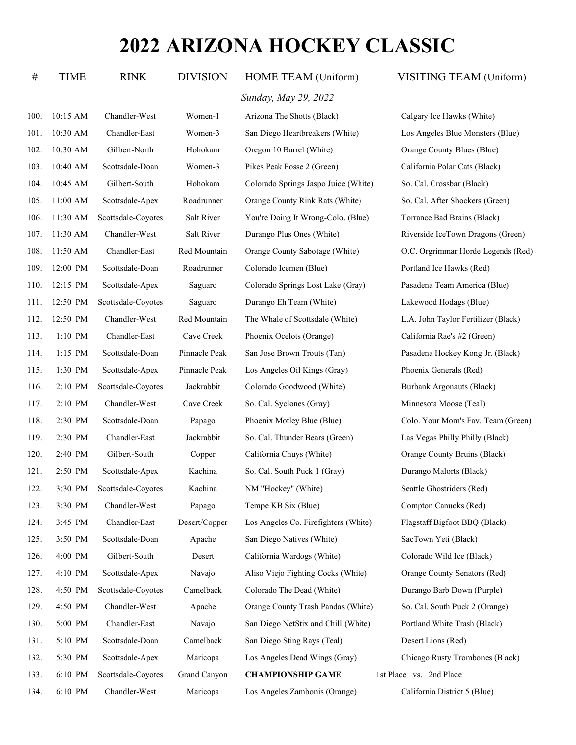|      | TIME            |  |  |
|------|-----------------|--|--|
|      | $100.$ 10:15 AM |  |  |
| 101. | $10:30$ AM      |  |  |
| 102. | $10:30$ AM      |  |  |

*Sunday, May 29, 2022*

100. 10:15 AM Chandler-West Women-1 Arizona The Shotts (Black) Calgary Ice Hawks (White) 101. 10:30 AM Chandler-East Women-3 San Diego Heartbreakers (White) Los Angeles Blue Monsters (Blue) 102. 10:30 AM Gilbert-North Hohokam Oregon 10 Barrel (White) Orange County Blues (Blue) 103. 10:40 AM Scottsdale-Doan Women-3 Pikes Peak Posse 2 (Green) California Polar Cats (Black) 104. 10:45 AM Gilbert-South Hohokam Colorado Springs Jaspo Juice (White) So. Cal. Crossbar (Black) 105. 11:00 AM Scottsdale-Apex Roadrunner Orange County Rink Rats (White) So. Cal. After Shockers (Green) 106. 11:30 AM Scottsdale-Coyotes Salt River You're Doing It Wrong-Colo. (Blue) Torrance Bad Brains (Black) 107. 11:30 AM Chandler-West Salt River Durango Plus Ones (White) Riverside IceTown Dragons (Green) 108. 11:50 AM Chandler-East Red Mountain Orange County Sabotage (White) O.C. Orgrimmar Horde Legends (Red) 109. 12:00 PM Scottsdale-Doan Roadrunner Colorado Icemen (Blue) Portland Ice Hawks (Red) 110. 12:15 PM Scottsdale-Apex Saguaro Colorado Springs Lost Lake (Gray) Pasadena Team America (Blue) 111. 12:50 PM Scottsdale-Coyotes Saguaro Durango Eh Team (White) Lakewood Hodags (Blue) 112. 12:50 PM Chandler-West Red Mountain The Whale of Scottsdale (White) L.A. John Taylor Fertilizer (Black) 113. 1:10 PM Chandler-East Cave Creek Phoenix Ocelots (Orange) California Rae's #2 (Green) 114. 1:15 PM Scottsdale-Doan Pinnacle Peak San Jose Brown Trouts (Tan) Pasadena Hockey Kong Jr. (Black) 115. 1:30 PM Scottsdale-Apex Pinnacle Peak Los Angeles Oil Kings (Gray) Phoenix Generals (Red) 116. 2:10 PM Scottsdale-Coyotes Jackrabbit Colorado Goodwood (White) Burbank Argonauts (Black) 117. 2:10 PM Chandler-West Cave Creek So. Cal. Syclones (Gray) Minnesota Moose (Teal) 118. 2:30 PM Scottsdale-Doan Papago Phoenix Motley Blue (Blue) Colo. Your Mom's Fav. Team (Green) 119. 2:30 PM Chandler-East Jackrabbit So. Cal. Thunder Bears (Green) Las Vegas Philly Philly (Black) 120. 2:40 PM Gilbert-South Copper California Chuys (White) Orange County Bruins (Black) 121. 2:50 PM Scottsdale-Apex Kachina So. Cal. South Puck 1 (Gray) Durango Malorts (Black) 122. 3:30 PM Scottsdale-Coyotes Kachina NM "Hockey" (White) Seattle Ghostriders (Red) 123. 3:30 PM Chandler-West Papago Tempe KB Six (Blue) Compton Canucks (Red) 124. 3:45 PM Chandler-East Desert/Copper Los Angeles Co. Firefighters (White) Flagstaff Bigfoot BBQ (Black) 125. 3:50 PM Scottsdale-Doan Apache San Diego Natives (White) SacTown Yeti (Black) 126. 4:00 PM Gilbert-South Desert California Wardogs (White) Colorado Wild Ice (Black) 127. 4:10 PM Scottsdale-Apex Navajo Aliso Viejo Fighting Cocks (White) Orange County Senators (Red) 128. 4:50 PM Scottsdale-Coyotes Camelback Colorado The Dead (White) Durango Barb Down (Purple) 129. 4:50 PM Chandler-West Apache Orange County Trash Pandas (White) So. Cal. South Puck 2 (Orange) 130. 5:00 PM Chandler-East Navajo San Diego NetStix and Chill (White) Portland White Trash (Black) 131. 5:10 PM Scottsdale-Doan Camelback San Diego Sting Rays (Teal) Desert Lions (Red) 132. 5:30 PM Scottsdale-Apex Maricopa Los Angeles Dead Wings (Gray) Chicago Rusty Trombones (Black) 133. 6:10 PM Scottsdale-Coyotes Grand Canyon **CHAMPIONSHIP GAME** 1st Place vs. 2nd Place 134. 6:10 PM Chandler-West Maricopa Los Angeles Zambonis (Orange) California District 5 (Blue)

### RINK DIVISION HOME TEAM (Uniform) VISITING TEAM (Uniform)